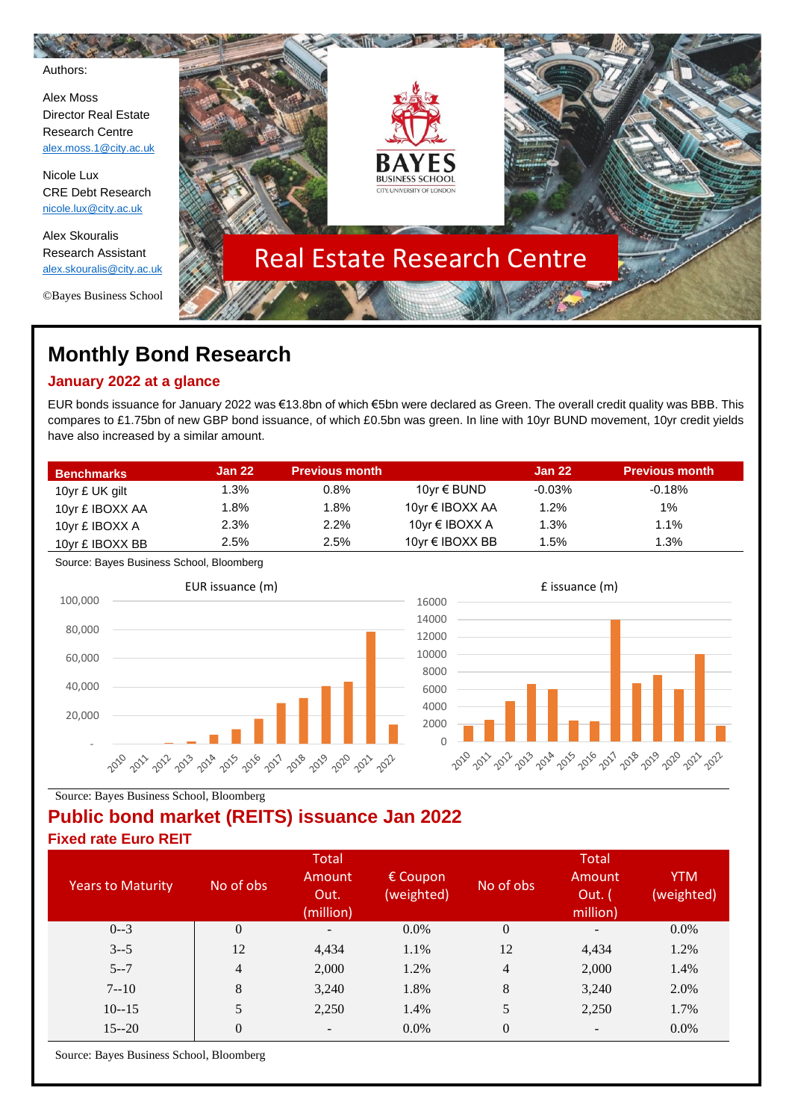Authors:

Alex Moss Director Real Estate Research Centre [alex.moss.1@city.ac.uk](mailto:alex.moss.1@city.ac.uk)

Nicole Lux CRE Debt Research [nicole.lux@city.ac.uk](mailto:nicole.lux@city.ac.uk)

Alex Skouralis Research Assistant [alex.skouralis@city.ac.uk](mailto:alex.skouralis@city.ac.uk)

©Bayes Business School



# **Monthly Bond Research**

## **January 2022 at a glance**

EUR bonds issuance for January 2022 was €13.8bn of which €5bn were declared as Green. The overall credit quality was BBB. This compares to £1.75bn of new GBP bond issuance, of which £0.5bn was green. In line with 10yr BUND movement, 10yr credit yields have also increased by a similar amount.

| <b>Benchmarks</b> | <b>Jan 22</b> | Previous month ˈ |                   | <b>Jan 22</b> | <b>Previous month</b> |
|-------------------|---------------|------------------|-------------------|---------------|-----------------------|
| 10yr £ UK gilt    | 1.3%          | 0.8%             | 10yr € BUND       | $-0.03%$      | $-0.18%$              |
| 10yr £ IBOXX AA   | 1.8%          | 1.8%             | 10yr € IBOXX AA   | 1.2%          | 1%                    |
| 10yr £ IBOXX A    | 2.3%          | 2.2%             | 10 $vr$ € IBOXX A | 1.3%          | 1.1%                  |
| 10yr £ IBOXX BB   | 2.5%          | 2.5%             | 10yr € IBOXX BB   | $1.5\%$       | 1.3%                  |

Source: Bayes Business School, Bloomberg





Source: Bayes Business School, Bloomberg

# **Public bond market (REITS) issuance Jan 2022**

**Fixed rate Euro REIT**

|                          |                | <b>Total</b>                |                                 |                  | Total                        |                          |
|--------------------------|----------------|-----------------------------|---------------------------------|------------------|------------------------------|--------------------------|
| <b>Years to Maturity</b> | No of obs      | Amount<br>Out.<br>(million) | $\epsilon$ Coupon<br>(weighted) | No of obs        | Amount<br>Out. (<br>million) | <b>YTM</b><br>(weighted) |
| $0 - 3$                  | $\overline{0}$ | $\qquad \qquad -$           | 0.0%                            | $\boldsymbol{0}$ | -                            | 0.0%                     |
| $3 - 5$                  | 12             | 4,434                       | 1.1%                            | 12               | 4,434                        | 1.2%                     |
| $5 - 7$                  | $\overline{4}$ | 2,000                       | 1.2%                            | 4                | 2,000                        | 1.4%                     |
| $7 - 10$                 | 8              | 3,240                       | 1.8%                            | $8\,$            | 3,240                        | 2.0%                     |
| $10 - 15$                | 5              | 2,250                       | 1.4%                            | 5                | 2,250                        | 1.7%                     |
| $15 - 20$                | $\overline{0}$ | $\overline{\phantom{a}}$    | 0.0%                            | $\boldsymbol{0}$ | $\overline{\phantom{a}}$     | $0.0\%$                  |

Source: Bayes Business School, Bloomberg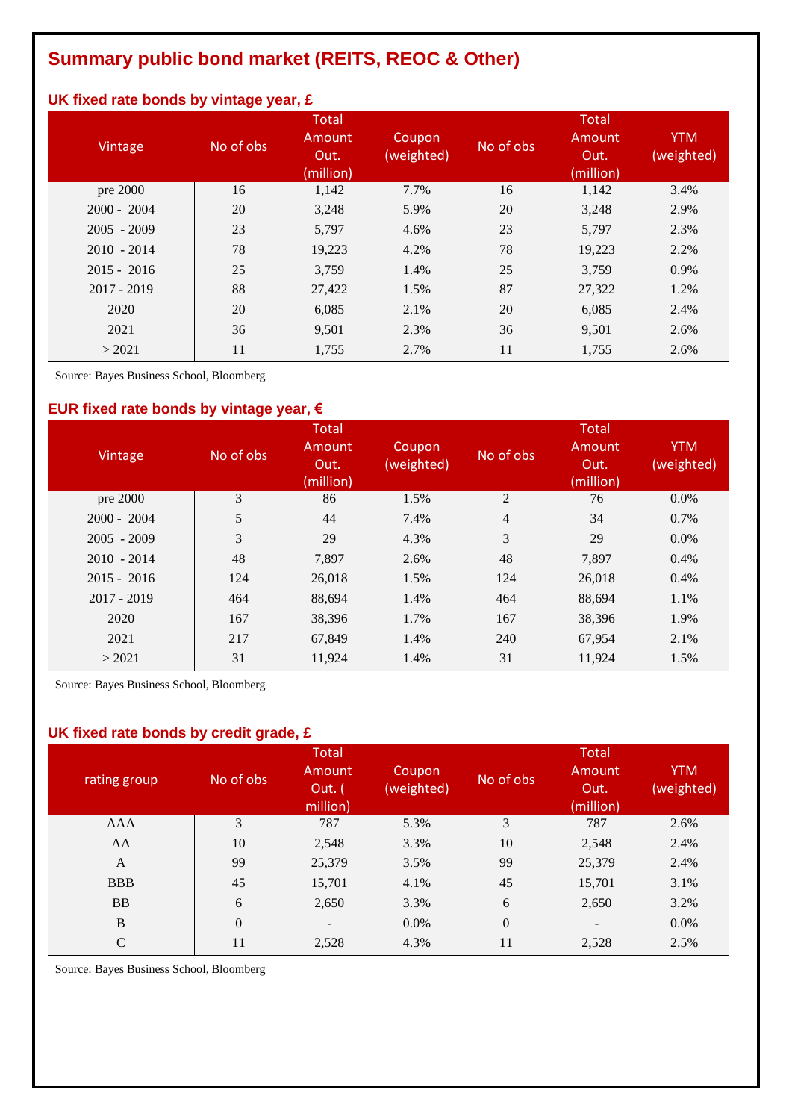# **Summary public bond market (REITS, REOC & Other)**

# **UK fixed rate bonds by vintage year, £**

| Vintage       | No of obs | <b>Total</b><br>Amount<br>Out.<br>(million) | Coupon<br>(weighted) | No of obs | <b>Total</b><br>Amount<br>Out.<br>(million) | <b>YTM</b><br>(weighted) |
|---------------|-----------|---------------------------------------------|----------------------|-----------|---------------------------------------------|--------------------------|
| pre 2000      | 16        | 1,142                                       | 7.7%                 | 16        | 1,142                                       | 3.4%                     |
| $2000 - 2004$ | 20        | 3,248                                       | 5.9%                 | 20        | 3,248                                       | 2.9%                     |
| $2005 - 2009$ | 23        | 5,797                                       | 4.6%                 | 23        | 5,797                                       | 2.3%                     |
| $2010 - 2014$ | 78        | 19,223                                      | 4.2%                 | 78        | 19,223                                      | 2.2%                     |
| $2015 - 2016$ | 25        | 3,759                                       | 1.4%                 | 25        | 3,759                                       | 0.9%                     |
| $2017 - 2019$ | 88        | 27,422                                      | 1.5%                 | 87        | 27,322                                      | 1.2%                     |
| 2020          | 20        | 6,085                                       | 2.1%                 | 20        | 6,085                                       | 2.4%                     |
| 2021          | 36        | 9,501                                       | 2.3%                 | 36        | 9,501                                       | 2.6%                     |
| > 2021        | 11        | 1,755                                       | 2.7%                 | 11        | 1,755                                       | 2.6%                     |

Source: Bayes Business School, Bloomberg

### **EUR fixed rate bonds by vintage year, €**

| Vintage       | No of obs | <b>Total</b><br>Amount<br>Out.<br>(million) | Coupon<br>(weighted) | No of obs      | <b>Total</b><br>Amount<br>Out.<br>(million) | <b>YTM</b><br>(weighted) |
|---------------|-----------|---------------------------------------------|----------------------|----------------|---------------------------------------------|--------------------------|
| pre 2000      | 3         | 86                                          | 1.5%                 | 2              | 76                                          | $0.0\%$                  |
| $2000 - 2004$ | 5         | 44                                          | 7.4%                 | $\overline{4}$ | 34                                          | $0.7\%$                  |
| $2005 - 2009$ | 3         | 29                                          | 4.3%                 | 3              | 29                                          | $0.0\%$                  |
| $2010 - 2014$ | 48        | 7,897                                       | 2.6%                 | 48             | 7,897                                       | $0.4\%$                  |
| $2015 - 2016$ | 124       | 26,018                                      | 1.5%                 | 124            | 26,018                                      | $0.4\%$                  |
| $2017 - 2019$ | 464       | 88,694                                      | 1.4%                 | 464            | 88,694                                      | 1.1%                     |
| 2020          | 167       | 38,396                                      | 1.7%                 | 167            | 38,396                                      | 1.9%                     |
| 2021          | 217       | 67,849                                      | 1.4%                 | 240            | 67,954                                      | 2.1%                     |
| > 2021        | 31        | 11,924                                      | 1.4%                 | 31             | 11,924                                      | 1.5%                     |

Source: Bayes Business School, Bloomberg

### **UK fixed rate bonds by credit grade, £**

| rating group  | No of obs      | <b>Total</b><br>Amount<br>Out. (<br>million) | Coupon<br>(weighted) | No of obs        | <b>Total</b><br>Amount<br>Out.<br>(million) | <b>YTM</b><br>(weighted) |
|---------------|----------------|----------------------------------------------|----------------------|------------------|---------------------------------------------|--------------------------|
| AAA           | 3              | 787                                          | 5.3%                 | 3                | 787                                         | 2.6%                     |
| AA            | 10             | 2,548                                        | 3.3%                 | 10               | 2,548                                       | 2.4%                     |
| A             | 99             | 25,379                                       | 3.5%                 | 99               | 25,379                                      | 2.4%                     |
| <b>BBB</b>    | 45             | 15,701                                       | 4.1%                 | 45               | 15,701                                      | 3.1%                     |
| <b>BB</b>     | 6              | 2,650                                        | 3.3%                 | 6                | 2,650                                       | 3.2%                     |
| $\bf{B}$      | $\overline{0}$ | $\overline{\phantom{a}}$                     | 0.0%                 | $\boldsymbol{0}$ | $\overline{\phantom{a}}$                    | $0.0\%$                  |
| $\mathcal{C}$ | 11             | 2,528                                        | 4.3%                 | 11               | 2,528                                       | 2.5%                     |

Source: Bayes Business School, Bloomberg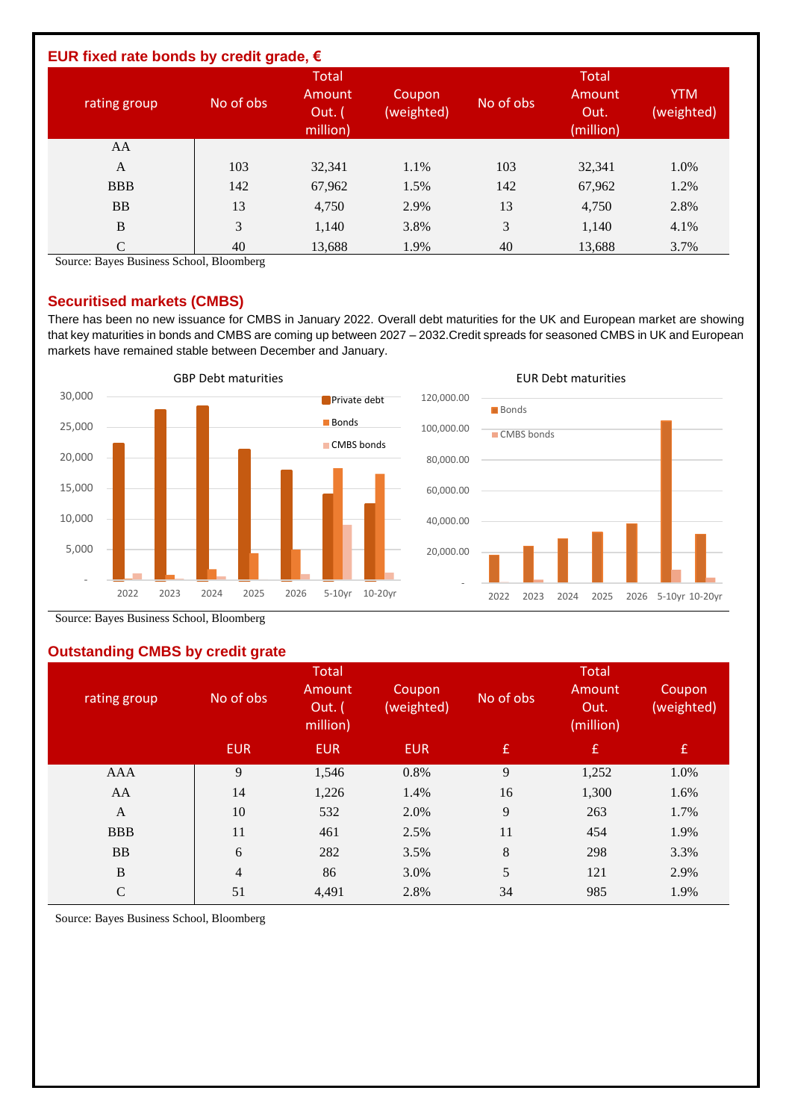| EUR fixed rate bonds by credit grade, $\epsilon$ |           |                                              |                      |           |                                             |                          |
|--------------------------------------------------|-----------|----------------------------------------------|----------------------|-----------|---------------------------------------------|--------------------------|
| rating group                                     | No of obs | <b>Total</b><br>Amount<br>Out. (<br>million) | Coupon<br>(weighted) | No of obs | <b>Total</b><br>Amount<br>Out.<br>(million) | <b>YTM</b><br>(weighted) |
| AA                                               |           |                                              |                      |           |                                             |                          |
| $\mathbf{A}$                                     | 103       | 32,341                                       | 1.1%                 | 103       | 32,341                                      | 1.0%                     |
| <b>BBB</b>                                       | 142       | 67,962                                       | 1.5%                 | 142       | 67,962                                      | 1.2%                     |
| <b>BB</b>                                        | 13        | 4,750                                        | 2.9%                 | 13        | 4,750                                       | 2.8%                     |
| B                                                | 3         | 1,140                                        | 3.8%                 | 3         | 1,140                                       | 4.1%                     |
| C                                                | 40        | 13,688                                       | 1.9%                 | 40        | 13,688                                      | 3.7%                     |

Source: Bayes Business School, Bloomberg

#### **Securitised markets (CMBS)**

There has been no new issuance for CMBS in January 2022. Overall debt maturities for the UK and European market are showing that key maturities in bonds and CMBS are coming up between 2027 – 2032.Credit spreads for seasoned CMBS in UK and European markets have remained stable between December and January.



Source: Bayes Business School, Bloomberg

### **Outstanding CMBS by credit grate**

| rating group | No of obs      | <b>Total</b><br>Amount<br>Out. (<br>million) | Coupon<br>(weighted) | No of obs | <b>Total</b><br>Amount<br>Out.<br>(million) | Coupon<br>(weighted) |
|--------------|----------------|----------------------------------------------|----------------------|-----------|---------------------------------------------|----------------------|
|              | <b>EUR</b>     | <b>EUR</b>                                   | <b>EUR</b>           | £         | $\mathbf{f}$                                | $\mathbf{f}$         |
| AAA          | 9              | 1,546                                        | 0.8%                 | 9         | 1,252                                       | 1.0%                 |
| AA           | 14             | 1,226                                        | 1.4%                 | 16        | 1,300                                       | 1.6%                 |
| A            | 10             | 532                                          | 2.0%                 | 9         | 263                                         | 1.7%                 |
| <b>BBB</b>   | 11             | 461                                          | 2.5%                 | 11        | 454                                         | 1.9%                 |
| <b>BB</b>    | 6              | 282                                          | 3.5%                 | $\,8\,$   | 298                                         | 3.3%                 |
| $\, {\bf B}$ | $\overline{4}$ | 86                                           | 3.0%                 | 5         | 121                                         | 2.9%                 |
| $\mathsf{C}$ | 51             | 4,491                                        | 2.8%                 | 34        | 985                                         | 1.9%                 |

Source: Bayes Business School, Bloomberg